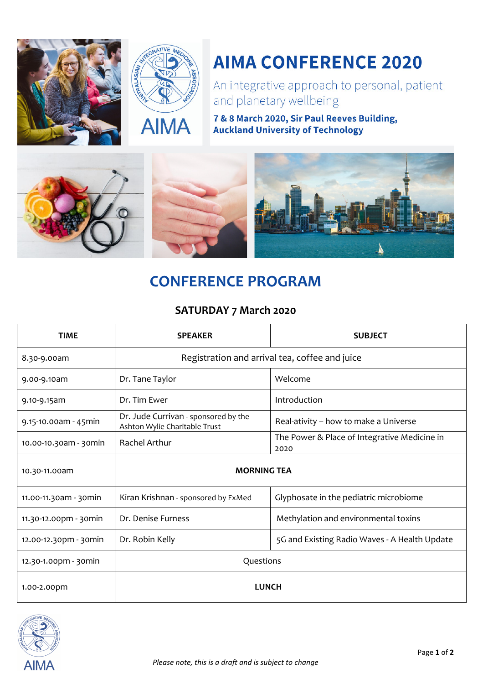



# **AIMA CONFERENCE 2020**

An integrative approach to personal, patient and planetary wellbeing

7 & 8 March 2020, Sir Paul Reeves Building, **Auckland University of Technology** 



## **CONFERENCE PROGRAM**

### **SATURDAY 7 March 2020**

| <b>TIME</b>           | <b>SPEAKER</b>                                                        | <b>SUBJECT</b>                                       |
|-----------------------|-----------------------------------------------------------------------|------------------------------------------------------|
| 8.30-9.00am           | Registration and arrival tea, coffee and juice                        |                                                      |
| 9.00-9.10am           | Dr. Tane Taylor                                                       | Welcome                                              |
| 9.10-9.15am           | Dr. Tim Ewer                                                          | Introduction                                         |
| 9.15-10.00am - 45min  | Dr. Jude Currivan - sponsored by the<br>Ashton Wylie Charitable Trust | Real-ativity - how to make a Universe                |
| 10.00-10.30am - 30min | <b>Rachel Arthur</b>                                                  | The Power & Place of Integrative Medicine in<br>2020 |
| 10.30-11.00am         | <b>MORNING TEA</b>                                                    |                                                      |
| 11.00-11.30am - 30min | Kiran Krishnan - sponsored by FxMed                                   | Glyphosate in the pediatric microbiome               |
| 11.30-12.00pm - 30min | Dr. Denise Furness                                                    | Methylation and environmental toxins                 |
| 12.00-12.30pm - 30min | Dr. Robin Kelly                                                       | 5G and Existing Radio Waves - A Health Update        |
| 12.30-1.00pm - 30min  | Questions                                                             |                                                      |
| 1.00-2.00pm           | <b>LUNCH</b>                                                          |                                                      |